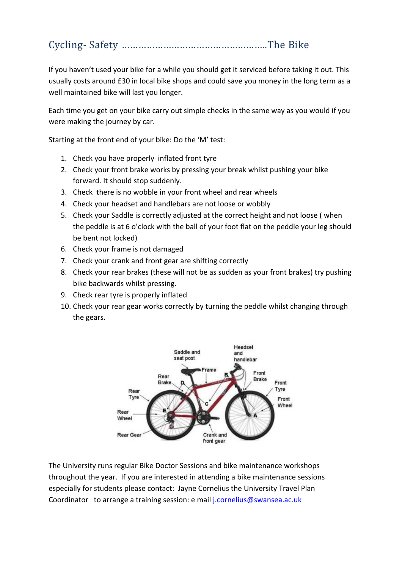# Cycling- Safety ……………………………………………..The Bike

If you haven't used your bike for a while you should get it serviced before taking it out. This usually costs around £30 in local bike shops and could save you money in the long term as a well maintained bike will last you longer.

Each time you get on your bike carry out simple checks in the same way as you would if you were making the journey by car.

Starting at the front end of your bike: Do the 'M' test:

- 1. Check you have properly inflated front tyre
- 2. Check your front brake works by pressing your break whilst pushing your bike forward. It should stop suddenly.
- 3. Check there is no wobble in your front wheel and rear wheels
- 4. Check your headset and handlebars are not loose or wobbly
- 5. Check your Saddle is correctly adjusted at the correct height and not loose (when the peddle is at 6 o'clock with the ball of your foot flat on the peddle your leg should be bent not locked)
- 6. Check your frame is not damaged
- 7. Check your crank and front gear are shifting correctly
- 8. Check your rear brakes (these will not be as sudden as your front brakes) try pushing bike backwards whilst pressing.
- 9. Check rear tyre is properly inflated
- 10. Check your rear gear works correctly by turning the peddle whilst changing through the gears.



The University runs regular Bike Doctor Sessions and bike maintenance workshops throughout the year. If you are interested in attending a bike maintenance sessions especially for students please contact: Jayne Cornelius the University Travel Plan Coordinator to arrange a training session: e mail *j.cornelius@swansea.ac.uk*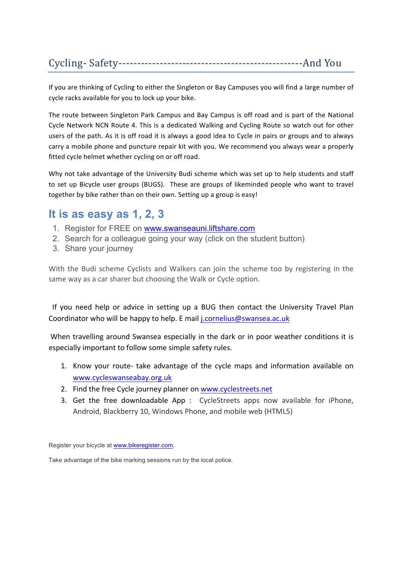## Cycling- Safety-------------------------------------------------And You

If you are thinking of Cycling to either the Singleton or Bay Campuses you will find a large number of cycle racks available for you to lock up your bike.

The route between Singleton Park Campus and Bay Campus is off road and is part of the National Cycle Network NCN Route 4. This is a dedicated Walking and Cycling Route so watch out for other users of the path. As it is off road it is always a good idea to Cycle in pairs or groups and to always carry a mobile phone and puncture repair kit with you. We recommend you always wear a properly fitted cycle helmet whether cycling on or off road.

Why not take advantage of the University Budi scheme which was set up to help students and staff to set up Bicycle user groups (BUGS). These are groups of likeminded people who want to travel together by bike rather than on their own. Setting up a group is easy!

## **It is as easy as 1, 2, 3**

- 1. Register for FREE on www.swanseauni.liftshare.com
- 2. Search for a colleague going your way (click on the student button)
- 3. Share your journey

With the Budi scheme Cyclists and Walkers can join the scheme too by registering in the same way as a car sharer but choosing the Walk or Cycle option.

If you need help or advice in setting up a BUG then contact the University Travel Plan Coordinator who will be happy to help. E mail *j.cornelius@swansea.ac.uk* 

When travelling around Swansea especially in the dark or in poor weather conditions it is especially important to follow some simple safety rules.

- 1. Know your route- take advantage of the cycle maps and information available on www.cycleswanseabay.org.uk
- 2. Find the free Cycle journey planner on www.cyclestreets.net
- 3. Get the free downloadable App : CycleStreets apps now available for iPhone, Android, Blackberry 10, Windows Phone, and mobile web (HTML5)

Register your bicycle at www.bikeregister.com.

Take advantage of the bike marking sessions run by the local police.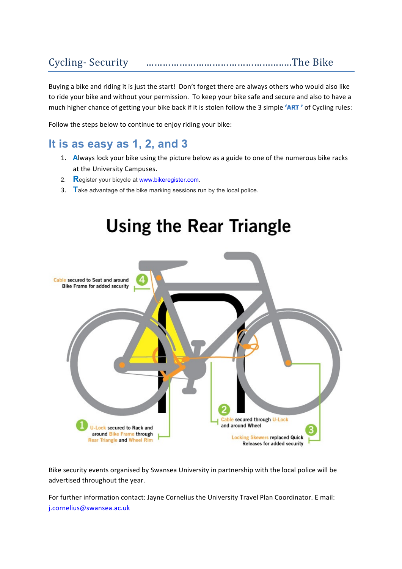# Cycling- Security ……………………………………………..The Bike

Buying a bike and riding it is just the start! Don't forget there are always others who would also like to ride your bike and without your permission. To keep your bike safe and secure and also to have a much higher chance of getting your bike back if it is stolen follow the 3 simple  $'ART'$  of Cycling rules:

Follow the steps below to continue to enjoy riding your bike:

## **It is as easy as 1, 2, and 3**

- 1. Always lock your bike using the picture below as a guide to one of the numerous bike racks at the University Campuses.
- 2. **R**egister your bicycle at www.bikeregister.com.
- 3. **T**ake advantage of the bike marking sessions run by the local police.



Bike security events organised by Swansea University in partnership with the local police will be advertised throughout the year.

For further information contact: Jayne Cornelius the University Travel Plan Coordinator. E mail: j.cornelius@swansea.ac.uk

# **Using the Rear Triangle**